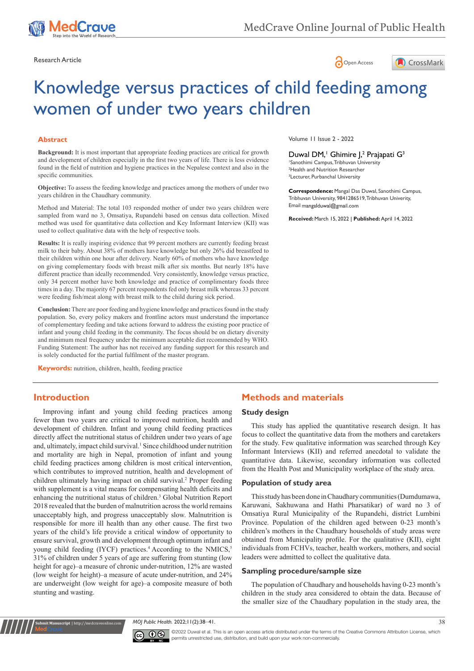





# Knowledge versus practices of child feeding among women of under two years children

#### **Abstract**

**Background:** It is most important that appropriate feeding practices are critical for growth and development of children especially in the first two years of life. There is less evidence found in the field of nutrition and hygiene practices in the Nepalese context and also in the specific communities.

**Objective:** To assess the feeding knowledge and practices among the mothers of under two years children in the Chaudhary community.

Method and Material: The total 103 responded mother of under two years children were sampled from ward no 3, Omsatiya, Rupandehi based on census data collection. Mixed method was used for quantitative data collection and Key Informant Interview (KII) was used to collect qualitative data with the help of respective tools.

**Results:** It is really inspiring evidence that 99 percent mothers are currently feeding breast milk to their baby. About 38% of mothers have knowledge but only 26% did breastfeed to their children within one hour after delivery. Nearly 60% of mothers who have knowledge on giving complementary foods with breast milk after six months. But nearly 18% have different practice than ideally recommended. Very consistently, knowledge versus practice, only 34 percent mother have both knowledge and practice of complimentary foods three times in a day. The majority 67 percent respondents fed only breast milk whereas 33 percent were feeding fish/meat along with breast milk to the child during sick period.

**Conclusion:** There are poor feeding and hygiene knowledge and practices found in the study population. So, every policy makers and frontline actors must understand the importance of complementary feeding and take actions forward to address the existing poor practice of infant and young child feeding in the community. The focus should be on dietary diversity and minimum meal frequency under the minimum acceptable diet recommended by WHO. Funding Statement: The author has not received any funding support for this research and is solely conducted for the partial fulfilment of the master program.

**Keywords:** nutrition, children, health, feeding practice

# **Introduction**

**Kubmit Manuscript** | http://medcraveonline

Improving infant and young child feeding practices among fewer than two years are critical to improved nutrition, health and development of children. Infant and young child feeding practices directly affect the nutritional status of children under two years of age and, ultimately, impact child survival.<sup>1</sup> Since childhood under nutrition and mortality are high in Nepal, promotion of infant and young child feeding practices among children is most critical intervention, which contributes to improved nutrition, health and development of children ultimately having impact on child survival.<sup>2</sup> Proper feeding with supplement is a vital means for compensating health deficits and enhancing the nutritional status of children.<sup>3</sup> Global Nutrition Report 2018 revealed that the burden of malnutrition across the world remains unacceptably high, and progress unacceptably slow. Malnutrition is responsible for more ill health than any other cause. The first two years of the child's life provide a critical window of opportunity to ensure survival, growth and development through optimum infant and young child feeding (IYCF) practices.<sup>4</sup> According to the NMICS,<sup>5</sup> 31% of children under 5 years of age are suffering from stunting (low height for age)–a measure of chronic under-nutrition, 12% are wasted (low weight for height)–a measure of acute under-nutrition, and 24% are underweight (low weight for age)–a composite measure of both stunting and wasting.

Volume 11 Issue 2 - 2022

Duwal DM,<sup>1</sup> Ghimire J,<sup>2</sup> Prajapati G<sup>3</sup>

1 Sanothimi Campus, Tribhuvan University <sup>2</sup>Health and Nutrition Researcher 3 Lecturer, Purbanchal University

**Correspondence:** Mangal Das Duwal, Sanothimi Campus, Tribhuvan University, 9841286519, Tribhuvan Univerity, Email mangalduwal@gmail.com

**Received:** March 15, 2022 | **Published:** April 14, 2022

# **Methods and materials**

#### **Study design**

This study has applied the quantitative research design. It has focus to collect the quantitative data from the mothers and caretakers for the study. Few qualitative information was searched through Key Informant Interviews (KII) and referred anecdotal to validate the quantitative data. Likewise, secondary information was collected from the Health Post and Municipality workplace of the study area.

#### **Population of study area**

This study has been done in Chaudhary communities (Dumdumawa, Karuwani, Sakhuwana and Hathi Pharsatikar) of ward no 3 of Omsatiya Rural Municipality of the Rupandehi, district Lumbini Province. Population of the children aged between 0-23 month's children's mothers in the Chaudhary households of study areas were obtained from Municipality profile. For the qualitative (KII), eight individuals from FCHVs, teacher, health workers, mothers, and social leaders were admitted to collect the qualitative data.

#### **Sampling procedure/sample size**

The population of Chaudhary and households having 0-23 month's children in the study area considered to obtain the data. Because of the smaller size of the Chaudhary population in the study area, the

*MOJ Public Health.* 2022;11(2):38‒41. 38



©2022 Duwal et al. This is an open access article distributed under the terms of the Creative Commons Attribution License, which permits unrestricted use, distribution, and build upon your work non-commercially.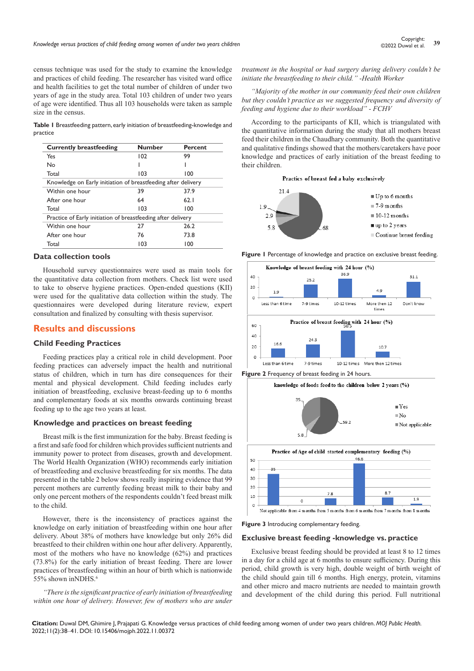census technique was used for the study to examine the knowledge and practices of child feeding. The researcher has visited ward office and health facilities to get the total number of children of under two years of age in the study area. Total 103 children of under two years of age were identified. Thus all 103 households were taken as sample size in the census.

**Table 1** Breastfeeding pattern, early initiation of breastfeeding-knowledge and practice

| <b>Currently breastfeeding</b>                                | <b>Number</b> | <b>Percent</b> |
|---------------------------------------------------------------|---------------|----------------|
| Yes                                                           | 102           | 99             |
| No                                                            |               |                |
| Total                                                         | 103           | 100            |
| Knowledge on Early initiation of breastfeeding after delivery |               |                |
| Within one hour                                               | 39            | 37.9           |
| After one hour                                                | 64            | 62.1           |
| Total                                                         | 103           | 100            |
| Practice of Early initiation of breastfeeding after delivery  |               |                |
| Within one hour                                               | 27            | 26.2           |
| After one hour                                                | 76            | 73.8           |
| Total                                                         | 103           | 100            |

#### **Data collection tools**

Household survey questionnaires were used as main tools for the quantitative data collection from mothers. Check list were used to take to observe hygiene practices. Open-ended questions (KII) were used for the qualitative data collection within the study. The questionnaires were developed during literature review, expert consultation and finalized by consulting with thesis supervisor.

# **Results and discussions**

## **Child Feeding Practices**

Feeding practices play a critical role in child development. Poor feeding practices can adversely impact the health and nutritional status of children, which in turn has dire consequences for their mental and physical development. Child feeding includes early initiation of breastfeeding, exclusive breast-feeding up to 6 months and complementary foods at six months onwards continuing breast feeding up to the age two years at least.

#### **Knowledge and practices on breast feeding**

Breast milk is the first immunization for the baby. Breast feeding is a first and safe food for children which provides sufficient nutrients and immunity power to protect from diseases, growth and development. The World Health Organization (WHO) recommends early initiation of breastfeeding and exclusive breastfeeding for six months. The data presented in the table 2 below shows really inspiring evidence that 99 percent mothers are currently feeding breast milk to their baby and only one percent mothers of the respondents couldn't feed breast milk to the child.

However, there is the inconsistency of practices against the knowledge on early initiation of breastfeeding within one hour after delivery. About 38% of mothers have knowledge but only 26% did breastfeed to their children within one hour after delivery. Apparently, most of the mothers who have no knowledge (62%) and practices (73.8%) for the early initiation of breast feeding. There are lower practices of breastfeeding within an hour of birth which is nationwide 55% shown inNDHS.<sup>6</sup>

*"There is the significant practice of early initiation of breastfeeding*  within one hour of delivery. However, few of mothers who are under

*treatment in the hospital or had surgery during delivery couldn't be initiate the breastfeeding to their child." -Health Worker*

*"Majority of the mother in our community feed their own children but they couldn't practice as we suggested frequency and diversity of feeding and hygiene due to their workload" - FCHV*

According to the participants of KII, which is triangulated with the quantitative information during the study that all mothers breast feed their children in the Chaudhary community. Both the quantitative and qualitative findings showed that the mothers/caretakers have poor knowledge and practices of early initiation of the breast feeding to their children.

#### Practics of breast fed a baby exclusively



**Figure 1** Percentage of knowledge and practice on exclusive breast feeding.



**Figure 2** Frequency of breast feeding in 24 hours.





Not applicable from 4 m onths from 5 m onths from 6 m onths from 7 m onths from 8 m onths

**Figure 3** Introducing complementary feeding.

#### **Exclusive breast feeding -knowledge vs. practice**

Exclusive breast feeding should be provided at least 8 to 12 times in a day for a child age at 6 months to ensure sufficiency. During this period, child growth is very high, double weight of birth weight of the child should gain till 6 months. High energy, protein, vitamins and other micro and macro nutrients are needed to maintain growth and development of the child during this period. Full nutritional

**Citation:** Duwal DM, Ghimire J, Prajapati G. Knowledge versus practices of child feeding among women of under two years children. *MOJ Public Health.* 2022;11(2):38‒41. DOI: [10.15406/mojph.2022.11.00372](https://doi.org/10.15406/mojph.2022.11.00372)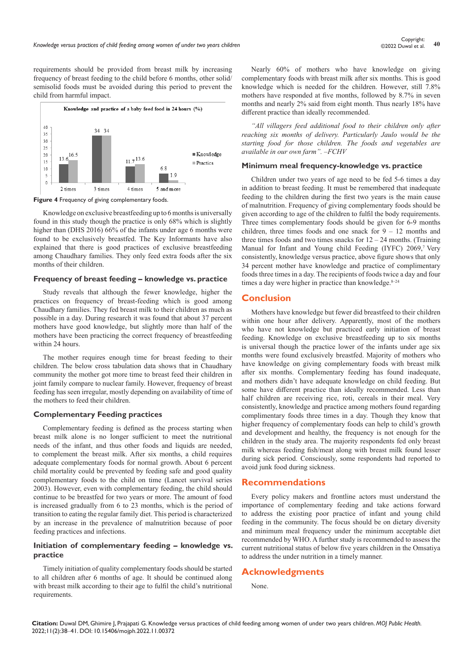requirements should be provided from breast milk by increasing frequency of breast feeding to the child before 6 months, other solid/ semisolid foods must be avoided during this period to prevent the child from harmful impact.



**Figure 4** Frequency of giving complementary foods.

Knowledge on exclusive breastfeeding up to 6 months is universally found in this study though the practice is only 68% which is slightly higher than (DHS 2016) 66% of the infants under age 6 months were found to be exclusively breastfed. The Key Informants have also explained that there is good practices of exclusive breastfeeding among Chaudhary families. They only feed extra foods after the six months of their children.

#### **Frequency of breast feeding – knowledge vs. practice**

Study reveals that although the fewer knowledge, higher the practices on frequency of breast-feeding which is good among Chaudhary families. They fed breast milk to their children as much as possible in a day. During research it was found that about 37 percent mothers have good knowledge, but slightly more than half of the mothers have been practicing the correct frequency of breastfeeding within 24 hours.

The mother requires enough time for breast feeding to their children. The below cross tabulation data shows that in Chaudhary community the mother got more time to breast feed their children in joint family compare to nuclear family. However, frequency of breast feeding has seen irregular, mostly depending on availability of time of the mothers to feed their children.

# **Complementary Feeding practices**

Complementary feeding is defined as the process starting when breast milk alone is no longer sufficient to meet the nutritional needs of the infant, and thus other foods and liquids are needed, to complement the breast milk. After six months, a child requires adequate complementary foods for normal growth. About 6 percent child mortality could be prevented by feeding safe and good quality complementary foods to the child on time (Lancet survival series 2003). However, even with complementary feeding, the child should continue to be breastfed for two years or more. The amount of food is increased gradually from 6 to 23 months, which is the period of transition to eating the regular family diet. This period is characterized by an increase in the prevalence of malnutrition because of poor feeding practices and infections.

# **Initiation of complementary feeding – knowledge vs. practice**

Timely initiation of quality complementary foods should be started to all children after 6 months of age. It should be continued along with breast milk according to their age to fulfil the child's nutritional requirements.

Nearly 60% of mothers who have knowledge on giving complementary foods with breast milk after six months. This is good knowledge which is needed for the children. However, still 7.8% mothers have responded at five months, followed by 8.7% in seven months and nearly 2% said from eight month. Thus nearly 18% have different practice than ideally recommended.

*"All villagers feed additional food to their children only after reaching six months of delivery. Particularly Jaulo would be the starting food for those children. The foods and vegetables are available in our own farm". –FCHV*

#### **Minimum meal frequency-knowledge vs. practice**

Children under two years of age need to be fed 5-6 times a day in addition to breast feeding. It must be remembered that inadequate feeding to the children during the first two years is the main cause of malnutrition. Frequency of giving complementary foods should be given according to age of the children to fulfil the body requirements. Three times complementary foods should be given for 6-9 months children, three times foods and one snack for  $9 - 12$  months and three times foods and two times snacks for  $12 - 24$  months. (Training Manual for Infant and Young child Feeding (IYFC) 2069,7 Very consistently, knowledge versus practice, above figure shows that only 34 percent mother have knowledge and practice of complimentary foods three times in a day. The recipients of foods twice a day and four times a day were higher in practice than knowledge.<sup>8-24</sup>

## **Conclusion**

Mothers have knowledge but fewer did breastfeed to their children within one hour after delivery. Apparently, most of the mothers who have not knowledge but practiced early initiation of breast feeding. Knowledge on exclusive breastfeeding up to six months is universal though the practice lower of the infants under age six months were found exclusively breastfed. Majority of mothers who have knowledge on giving complementary foods with breast milk after six months. Complementary feeding has found inadequate, and mothers didn't have adequate knowledge on child feeding. But some have different practice than ideally recommended. Less than half children are receiving rice, roti, cereals in their meal. Very consistently, knowledge and practice among mothers found regarding complimentary foods three times in a day. Though they know that higher frequency of complementary foods can help to child's growth and development and healthy, the frequency is not enough for the children in the study area. The majority respondents fed only breast milk whereas feeding fish/meat along with breast milk found lesser during sick period. Consciously, some respondents had reported to avoid junk food during sickness.

#### **Recommendations**

Every policy makers and frontline actors must understand the importance of complementary feeding and take actions forward to address the existing poor practice of infant and young child feeding in the community. The focus should be on dietary diversity and minimum meal frequency under the minimum acceptable diet recommended by WHO. A further study is recommended to assess the current nutritional status of below five years children in the Omsatiya to address the under nutrition in a timely manner.

#### **Acknowledgments**

None.

**Citation:** Duwal DM, Ghimire J, Prajapati G. Knowledge versus practices of child feeding among women of under two years children. *MOJ Public Health.* 2022;11(2):38‒41. DOI: [10.15406/mojph.2022.11.00372](https://doi.org/10.15406/mojph.2022.11.00372)